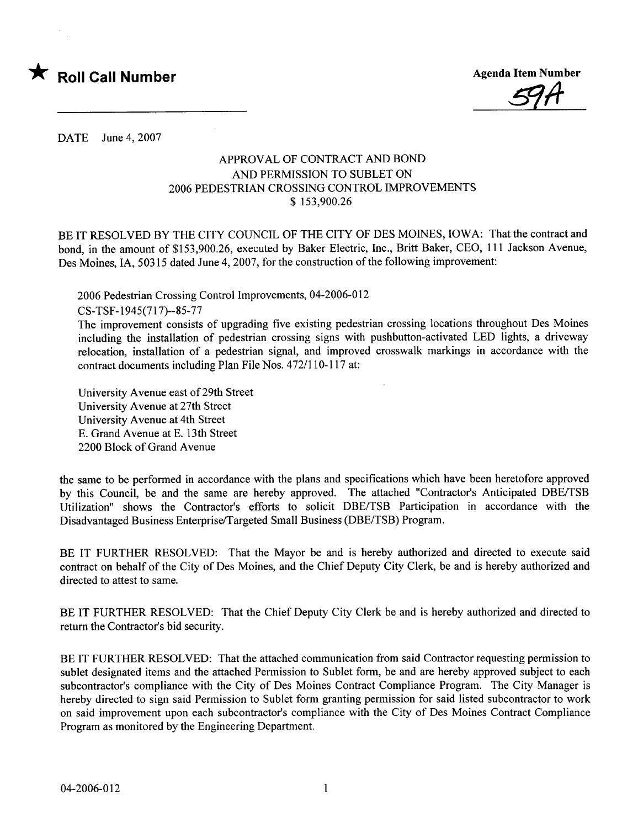

<u>59A</u>

DATE June 4, 2007

## APPROVAL OF CONTRACT AND BOND AND PERMISSION TO SUBLET ON 2006 PEDESTRIAN CROSSING CONTROL IMPROVEMENTS \$ 153,900.26

BE IT RESOLVED BY THE CITY COUNCIL OF THE CITY OF DES MOINES, IOWA: That the contract and bond, in the amount of \$153,900.26, executed by Baker Electric, Inc., Britt Baker, CEO, 111 Jackson Avenue, Des Moines, IA, 50315 dated June 4, 2007, for the construction of the following improvement:

2006 Pedestrian Crossing Control Improvements, 04-2006-012 CS- TSF-1945(717)--85-77

The improvement consists of upgrading five existing pedestrian crossing locations throughout Des Moines including the installation of pedestrian crossing signs with pushbutton-activated LED lights, a driveway relocation, installation of a pedestrian signal, and improved crosswalk markings in accordance with the contract documents including Plan File Nos. 472/110-117 at:

University Avenue east of 29th Street University Avenue at 27th Street University Avenue at 4th Street E. Grand Avenue at E. 13th Street 2200 Block of Grand Avenue

the same to be performed in accordance with the plans and specifications which have been heretofore approved by this Council, be and the same are hereby approved. The attached "Contractor's Anticipated DBE/TSB Utilization" shows the Contractor's efforts to solicit DBE/TSB Participation in accordance with the Disadvantaged Business Enterprise/Targeted Small Business (DBE/TSB) Program.

BE IT FURTHER RESOLVED: That the Mayor be and is hereby authorized and directed to execute said contract on behalf of the City of Des Moines, and the Chief Deputy City Clerk, be and is hereby authorized and directed to attest to same.

BE IT FURTHER RESOLVED: That the Chief Deputy City Clerk be and is hereby authorized and directed to return the Contractor's bid security.

BE IT FURTHER RESOLVED: That the attached communication from said Contractor requesting permission to sublet designated items and the attached Permission to Sublet form, be and are hereby approved subject to each subcontractor's compliance with the City of Des Moines Contract Compliance Program. The City Manager is hereby directed to sign said Permission to Sublet form granting permission for said listed subcontractor to work on said improvement upon each subcontractor's compliance with the City of Des Moines Contract Compliance Program as monitored by the Engineering Department.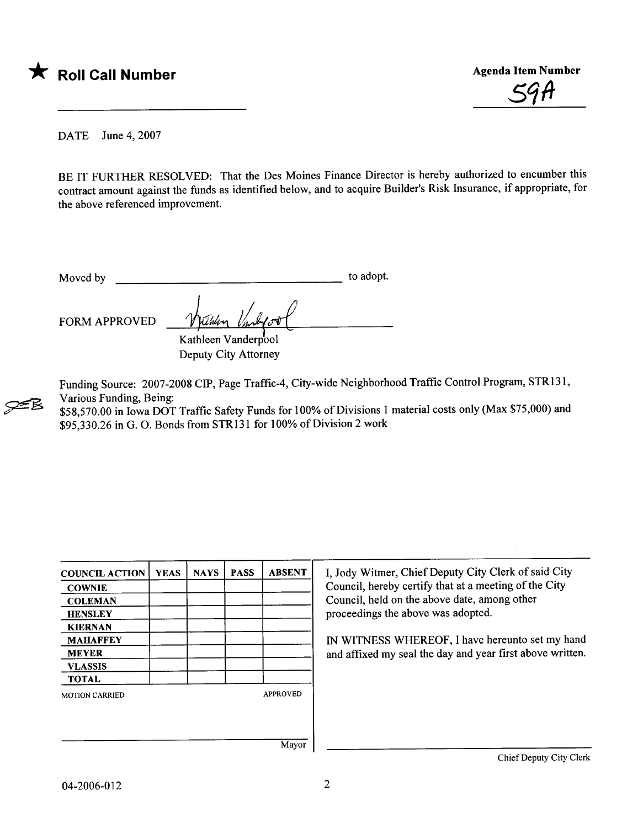



DATE June 4, 2007

BE IT FURTHER RESOLVED: That the Des Moines Finance Director is hereby authorized to encumber this contract amount against the funds as identified below, and to acquire Builder's Risk Insurance, if appropriate, for the above referenced improvement.

Moved by to adopt.

FORM APPROVED Withlin

~

Kathleen Vanderpool Deputy City Attorney

Funding Source: 2007-2008 CIP, Page Traffic-4, City-wide Neighborhood Traffic Control Program, STR131, Various Funding, Being:

\$58,570.00 in Iowa DOT Traffic Safety Funds for 100% of Divisions 1 material costs only (Max \$75,000) and \$95,330.26 in G. O. Bonds from STR131 for 100% of Division 2 work

| <b>COUNCIL ACTION</b> | <b>YEAS</b> | <b>NAYS</b> | <b>PASS</b> | <b>ABSENT</b>   | I, Jody Witmer, Chief Deputy City Clerk of said City      |
|-----------------------|-------------|-------------|-------------|-----------------|-----------------------------------------------------------|
| <b>COWNIE</b>         |             |             |             |                 | Council, hereby certify that at a meeting of the City     |
| <b>COLEMAN</b>        |             |             |             |                 | Council, held on the above date, among other              |
| <b>HENSLEY</b>        |             |             |             |                 | proceedings the above was adopted.                        |
| <b>KIERNAN</b>        |             |             |             |                 |                                                           |
| <b>MAHAFFEY</b>       |             |             |             |                 | IN WITNESS WHEREOF, I have hereunto set my hand           |
| <b>MEYER</b>          |             |             |             |                 | and affixed my seal the day and year first above written. |
| <b>VLASSIS</b>        |             |             |             |                 |                                                           |
| <b>TOTAL</b>          |             |             |             |                 |                                                           |
| <b>MOTION CARRIED</b> |             |             |             | <b>APPROVED</b> |                                                           |
|                       |             |             |             |                 |                                                           |
|                       |             |             |             |                 |                                                           |
|                       |             |             |             | Mayor           |                                                           |

Chief Deputy City Clerk